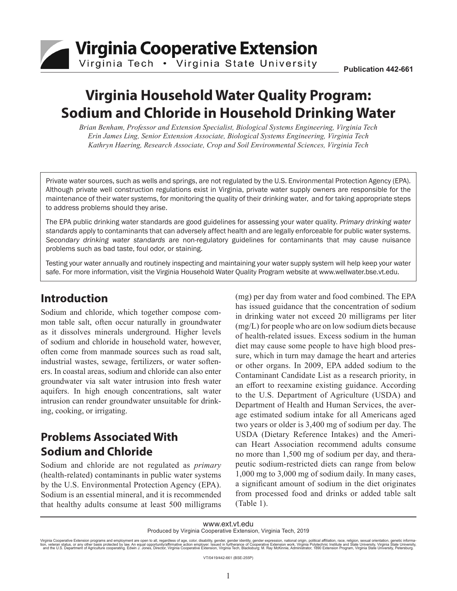

# **Virginia Household Water Quality Program: Sodium and Chloride in Household Drinking Water**

*Brian Benham, Professor and Extension Specialist, Biological Systems Engineering, Virginia Tech Erin James Ling, Senior Extension Associate, Biological Systems Engineering, Virginia Tech Kathryn Haering, Research Associate, Crop and Soil Environmental Sciences, Virginia Tech*

Private water sources, such as wells and springs, are not regulated by the U.S. Environmental Protection Agency (EPA). Although private well construction regulations exist in Virginia, private water supply owners are responsible for the maintenance of their water systems, for monitoring the quality of their drinking water, and for taking appropriate steps to address problems should they arise.

The EPA public drinking water standards are good guidelines for assessing your water quality. *Primary drinking water standards* apply to contaminants that can adversely affect health and are legally enforceable for public water systems. *Secondary drinking water standards* are non-regulatory guidelines for contaminants that may cause nuisance problems such as bad taste, foul odor, or staining.

Testing your water annually and routinely inspecting and maintaining your water supply system will help keep your water safe. For more information, visit the Virginia Household Water Quality Program website at www.wellwater.bse.vt.edu.

### **Introduction**

Sodium and chloride, which together compose common table salt, often occur naturally in groundwater as it dissolves minerals underground. Higher levels of sodium and chloride in household water, however, often come from manmade sources such as road salt, industrial wastes, sewage, fertilizers, or water softeners. In coastal areas, sodium and chloride can also enter groundwater via salt water intrusion into fresh water aquifers. In high enough concentrations, salt water intrusion can render groundwater unsuitable for drinking, cooking, or irrigating.

# **Problems Associated With Sodium and Chloride**

Sodium and chloride are not regulated as *primary* (health-related) contaminants in public water systems by the U.S. Environmental Protection Agency (EPA). Sodium is an essential mineral, and it is recommended that healthy adults consume at least 500 milligrams (mg) per day from water and food combined. The EPA has issued guidance that the concentration of sodium in drinking water not exceed 20 milligrams per liter (mg/L) for people who are on low sodium diets because of health-related issues. Excess sodium in the human diet may cause some people to have high blood pressure, which in turn may damage the heart and arteries or other organs. In 2009, EPA added sodium to the Contaminant Candidate List as a research priority, in an effort to reexamine existing guidance. According to the U.S. Department of Agriculture (USDA) and Department of Health and Human Services, the average estimated sodium intake for all Americans aged two years or older is 3,400 mg of sodium per day. The USDA (Dietary Reference Intakes) and the American Heart Association recommend adults consume no more than 1,500 mg of sodium per day, and therapeutic sodium-restricted diets can range from below 1,000 mg to 3,000 mg of sodium daily. In many cases, a significant amount of sodium in the diet originates from processed food and drinks or added table salt (Table 1).

www.ext.vt.edu

Produced by Virginia Cooperative Extension, Virginia Tech, 2019

Virginia Cooperative Extension programs and employment are open to all, regardless of age, color, disability, gender, gender identity, gender expression, national origin, political affiliation, race, religion, sexual orien

VT/0419/442-661 (BSE-255P)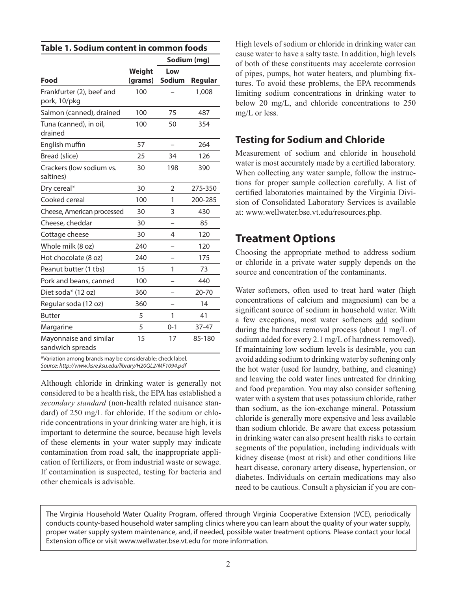| Table 1. Sodium content in common foods |  |
|-----------------------------------------|--|
|-----------------------------------------|--|

|                                                        |                   | Sodium (mg)          |         |
|--------------------------------------------------------|-------------------|----------------------|---------|
| Food                                                   | Weight<br>(grams) | Low<br><b>Sodium</b> | Regular |
| Frankfurter (2), beef and<br>pork, 10/pkg              | 100               |                      | 1,008   |
| Salmon (canned), drained                               | 100               | 75                   | 487     |
| Tuna (canned), in oil,<br>drained                      | 100               | 50                   | 354     |
| English muffin                                         | 57                |                      | 264     |
| Bread (slice)                                          | 25                | 34                   | 126     |
| Crackers (low sodium vs.<br>saltines)                  | 30                | 198                  | 390     |
| Dry cereal*                                            | 30                | $\overline{2}$       | 275-350 |
| Cooked cereal                                          | 100               | 1                    | 200-285 |
| Cheese, American processed                             | 30                | 3                    | 430     |
| Cheese, cheddar                                        | 30                |                      | 85      |
| Cottage cheese                                         | 30                | 4                    | 120     |
| Whole milk (8 oz)                                      | 240               |                      | 120     |
| Hot chocolate (8 oz)                                   | 240               |                      | 175     |
| Peanut butter (1 tbs)                                  | 15                | 1                    | 73      |
| Pork and beans, canned                                 | 100               |                      | 440     |
| Diet soda* (12 oz)                                     | 360               |                      | 20-70   |
| Regular soda (12 oz)                                   | 360               |                      | 14      |
| <b>Butter</b>                                          | 5                 | 1                    | 41      |
| Margarine                                              | 5                 | $0 - 1$              | 37-47   |
| Mayonnaise and similar<br>sandwich spreads             | 15                | 17                   | 85-180  |
| Wariation among brands may be considerable sheek label |                   |                      |         |

Variation among brands may be considerable; check label. *Source: http://www.ksre.ksu.edu/library/H20QL2/MF1094.pdf*

Although chloride in drinking water is generally not considered to be a health risk, the EPA has established a *secondary standard* (non-health related nuisance standard) of 250 mg/L for chloride. If the sodium or chloride concentrations in your drinking water are high, it is important to determine the source, because high levels of these elements in your water supply may indicate contamination from road salt, the inappropriate application of fertilizers, or from industrial waste or sewage. If contamination is suspected, testing for bacteria and other chemicals is advisable.

High levels of sodium or chloride in drinking water can cause water to have a salty taste. In addition, high levels of both of these constituents may accelerate corrosion of pipes, pumps, hot water heaters, and plumbing fixtures. To avoid these problems, the EPA recommends limiting sodium concentrations in drinking water to below 20 mg/L, and chloride concentrations to 250 mg/L or less.

#### **Testing for Sodium and Chloride**

Measurement of sodium and chloride in household water is most accurately made by a certified laboratory. When collecting any water sample, follow the instructions for proper sample collection carefully. A list of certified laboratories maintained by the Virginia Division of Consolidated Laboratory Services is available at: www.wellwater.bse.vt.edu/resources.php.

## **Treatment Options**

Choosing the appropriate method to address sodium or chloride in a private water supply depends on the source and concentration of the contaminants.

Water softeners, often used to treat hard water (high concentrations of calcium and magnesium) can be a significant source of sodium in household water. With a few exceptions, most water softeners add sodium during the hardness removal process (about 1 mg/L of sodium added for every 2.1 mg/L of hardness removed). If maintaining low sodium levels is desirable, you can avoid adding sodium to drinking water by softening only the hot water (used for laundry, bathing, and cleaning) and leaving the cold water lines untreated for drinking and food preparation. You may also consider softening water with a system that uses potassium chloride, rather than sodium, as the ion-exchange mineral. Potassium chloride is generally more expensive and less available than sodium chloride. Be aware that excess potassium in drinking water can also present health risks to certain segments of the population, including individuals with kidney disease (most at risk) and other conditions like heart disease, coronary artery disease, hypertension, or diabetes. Individuals on certain medications may also need to be cautious. Consult a physician if you are con-

The Virginia Household Water Quality Program, offered through Virginia Cooperative Extension (VCE), periodically conducts county-based household water sampling clinics where you can learn about the quality of your water supply, proper water supply system maintenance, and, if needed, possible water treatment options. Please contact your local Extension office or visit www.wellwater.bse.vt.edu for more information.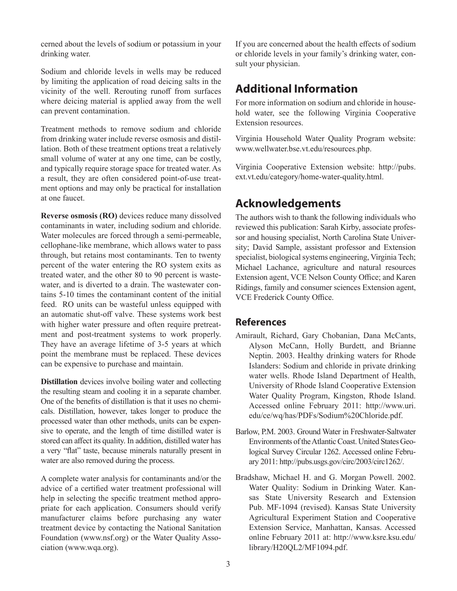cerned about the levels of sodium or potassium in your drinking water.

Sodium and chloride levels in wells may be reduced by limiting the application of road deicing salts in the vicinity of the well. Rerouting runoff from surfaces where deicing material is applied away from the well can prevent contamination.

Treatment methods to remove sodium and chloride from drinking water include reverse osmosis and distillation. Both of these treatment options treat a relatively small volume of water at any one time, can be costly, and typically require storage space for treated water. As a result, they are often considered point-of-use treatment options and may only be practical for installation at one faucet.

**Reverse osmosis (RO)** devices reduce many dissolved contaminants in water, including sodium and chloride. Water molecules are forced through a semi-permeable, cellophane-like membrane, which allows water to pass through, but retains most contaminants. Ten to twenty percent of the water entering the RO system exits as treated water, and the other 80 to 90 percent is wastewater, and is diverted to a drain. The wastewater contains 5-10 times the contaminant content of the initial feed. RO units can be wasteful unless equipped with an automatic shut-off valve. These systems work best with higher water pressure and often require pretreatment and post-treatment systems to work properly. They have an average lifetime of 3-5 years at which point the membrane must be replaced. These devices can be expensive to purchase and maintain.

**Distillation** devices involve boiling water and collecting the resulting steam and cooling it in a separate chamber. One of the benefits of distillation is that it uses no chemicals. Distillation, however, takes longer to produce the processed water than other methods, units can be expensive to operate, and the length of time distilled water is stored can affect its quality. In addition, distilled water has a very "flat" taste, because minerals naturally present in water are also removed during the process.

A complete water analysis for contaminants and/or the advice of a certified water treatment professional will help in selecting the specific treatment method appropriate for each application. Consumers should verify manufacturer claims before purchasing any water treatment device by contacting the National Sanitation Foundation (www.nsf.org) or the Water Quality Association (www.wqa.org).

If you are concerned about the health effects of sodium or chloride levels in your family's drinking water, consult your physician.

## **Additional Information**

For more information on sodium and chloride in household water, see the following Virginia Cooperative Extension resources.

Virginia Household Water Quality Program website: www.wellwater.bse.vt.edu/resources.php.

Virginia Cooperative Extension website: http://pubs. ext.vt.edu/category/home-water-quality.html.

## **Acknowledgements**

The authors wish to thank the following individuals who reviewed this publication: Sarah Kirby, associate professor and housing specialist, North Carolina State University; David Sample, assistant professor and Extension specialist, biological systems engineering, Virginia Tech; Michael Lachance, agriculture and natural resources Extension agent, VCE Nelson County Office; and Karen Ridings, family and consumer sciences Extension agent, VCE Frederick County Office.

#### **References**

- Amirault, Richard, Gary Chobanian, Dana McCants, Alyson McCann, Holly Burdett, and Brianne Neptin. 2003. Healthy drinking waters for Rhode Islanders: Sodium and chloride in private drinking water wells. Rhode Island Department of Health, University of Rhode Island Cooperative Extension Water Quality Program, Kingston, Rhode Island. Accessed online February 2011: http://www.uri. edu/ce/wq/has/PDFs/Sodium%20Chloride.pdf.
- Barlow, P.M. 2003. Ground Water in Freshwater-Saltwater Environments of the Atlantic Coast. United States Geological Survey Circular 1262. Accessed online February 2011: http://pubs.usgs.gov/circ/2003/circ1262/.
- Bradshaw, Michael H. and G. Morgan Powell. 2002. Water Quality: Sodium in Drinking Water. Kansas State University Research and Extension Pub. MF-1094 (revised). Kansas State University Agricultural Experiment Station and Cooperative Extension Service, Manhattan, Kansas. Accessed online February 2011 at: http://www.ksre.ksu.edu/ library/H20QL2/MF1094.pdf.